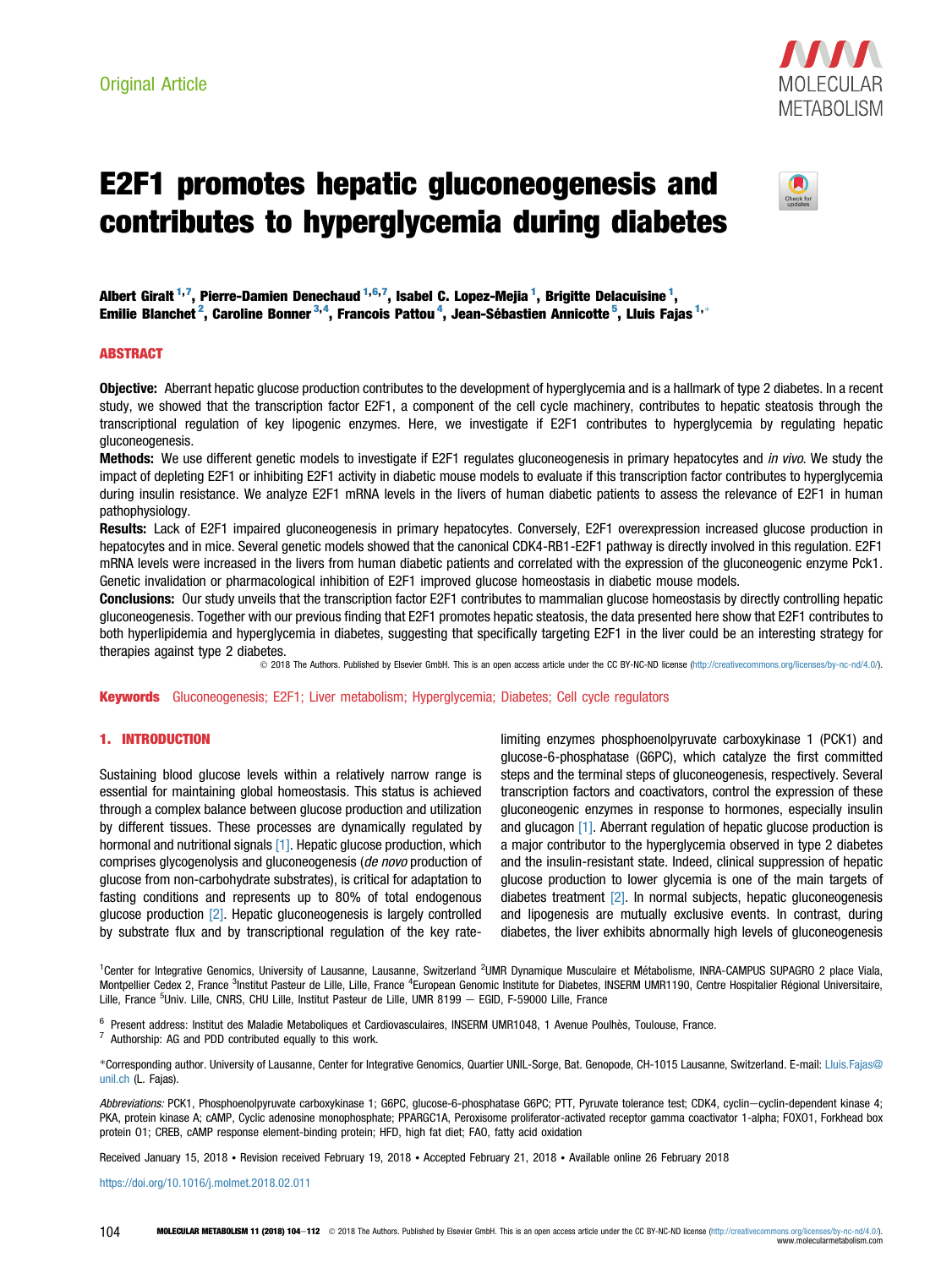

# E2F1 promotes hepatic gluconeogenesis and contributes to hyperglycemia during diabetes



Albert Giralt <sup>1,7</sup>, Pierre-Damien Denechaud <sup>1,6,7</sup>, Isabel C. Lopez-Mejia <sup>1</sup>, Brigitte Delacuisine <sup>1</sup>, Emilie Blanchet<sup>2</sup>, Caroline Bonner<sup>3,4</sup>, Francois Pattou<sup>4</sup>, Jean-Sébastien Annicotte<sup>5</sup>, Lluis Fajas<sup>1,\*</sup>

# **ABSTRACT**

Objective: Aberrant hepatic glucose production contributes to the development of hyperglycemia and is a hallmark of type 2 diabetes. In a recent study, we showed that the transcription factor E2F1, a component of the cell cycle machinery, contributes to hepatic steatosis through the transcriptional regulation of key lipogenic enzymes. Here, we investigate if E2F1 contributes to hyperglycemia by regulating hepatic gluconeogenesis.

Methods: We use different genetic models to investigate if E2F1 regulates gluconeogenesis in primary hepatocytes and in vivo. We study the impact of depleting E2F1 or inhibiting E2F1 activity in diabetic mouse models to evaluate if this transcription factor contributes to hyperglycemia during insulin resistance. We analyze E2F1 mRNA levels in the livers of human diabetic patients to assess the relevance of E2F1 in human pathophysiology.

Results: Lack of E2F1 impaired gluconeogenesis in primary hepatocytes. Conversely, E2F1 overexpression increased glucose production in hepatocytes and in mice. Several genetic models showed that the canonical CDK4-RB1-E2F1 pathway is directly involved in this regulation. E2F1 mRNA levels were increased in the livers from human diabetic patients and correlated with the expression of the gluconeogenic enzyme Pck1. Genetic invalidation or pharmacological inhibition of E2F1 improved glucose homeostasis in diabetic mouse models.

Conclusions: Our study unveils that the transcription factor E2F1 contributes to mammalian glucose homeostasis by directly controlling hepatic gluconeogenesis. Together with our previous finding that E2F1 promotes hepatic steatosis, the data presented here show that E2F1 contributes to both hyperlipidemia and hyperglycemia in diabetes, suggesting that specifically targeting E2F1 in the liver could be an interesting strategy for therapies against type 2 diabetes.

2018 The Authors. Published by Elsevier GmbH. This is an open access article under the CC BY-NC-ND license ([http://creativecommons.org/licenses/by-nc-nd/4.0/\)](http://creativecommons.org/licenses/by-nc-nd/4.0/).

Keywords Gluconeogenesis; E2F1; Liver metabolism; Hyperglycemia; Diabetes; Cell cycle regulators

#### 1. INTRODUCTION

Sustaining blood glucose levels within a relatively narrow range is essential for maintaining global homeostasis. This status is achieved through a complex balance between glucose production and utilization by different tissues. These processes are dynamically regulated by hormonal and nutritional signals [\[1\]](#page-8-0). Hepatic glucose production, which comprises glycogenolysis and gluconeogenesis (de novo production of glucose from non-carbohydrate substrates), is critical for adaptation to fasting conditions and represents up to 80% of total endogenous glucose production [\[2\].](#page-8-0) Hepatic gluconeogenesis is largely controlled by substrate flux and by transcriptional regulation of the key ratelimiting enzymes phosphoenolpyruvate carboxykinase 1 (PCK1) and glucose-6-phosphatase (G6PC), which catalyze the first committed steps and the terminal steps of gluconeogenesis, respectively. Several transcription factors and coactivators, control the expression of these gluconeogenic enzymes in response to hormones, especially insulin and glucagon [\[1\]](#page-8-0). Aberrant regulation of hepatic glucose production is a major contributor to the hyperglycemia observed in type 2 diabetes and the insulin-resistant state. Indeed, clinical suppression of hepatic glucose production to lower glycemia is one of the main targets of diabetes treatment [\[2\]](#page-8-0). In normal subjects, hepatic gluconeogenesis and lipogenesis are mutually exclusive events. In contrast, during diabetes, the liver exhibits abnormally high levels of gluconeogenesis

<sup>1</sup>Center for Integrative Genomics, University of Lausanne, Lausanne, Switzerland <sup>2</sup>UMR Dynamique Musculaire et Métabolisme, INRA-CAMPUS SUPAGRO 2 place Viala, Montpellier Cedex 2, France <sup>3</sup>Institut Pasteur de Lille, Lille, France <sup>4</sup>European Genomic Institute for Diabetes, INSERM UMR1190, Centre Hospitalier Régional Universitaire, Lille, France <sup>5</sup>Univ. Lille, CNRS, CHU Lille, Institut Pasteur de Lille, UMR 8199 — EGID, F-59000 Lille, France

 $6$  Present address: Institut des Maladie Metaboliques et Cardiovasculaires, INSERM UMR1048, 1 Avenue Poulhès, Toulouse, France.  $7$  Authorship: AG and PDD contributed equally to this work.

\*Corresponding author. University of Lausanne, Center for Integrative Genomics, Quartier UNIL-Sorge, Bat. Genopode, CH-1015 Lausanne, Switzerland. E-mail: [Lluis.Fajas@](mailto:Lluis.Fajas@unil.ch) [unil.ch](mailto:Lluis.Fajas@unil.ch) (L. Fajas).

Abbreviations: PCK1, Phosphoenolpyruvate carboxykinase 1; G6PC, qlucose-6-phosphatase G6PC; PTT, Pyruvate tolerance test; CDK4, cyclin-cyclin-dependent kinase 4; PKA, protein kinase A; cAMP, Cyclic adenosine monophosphate; PPARGC1A, Peroxisome proliferator-activated receptor gamma coactivator 1-alpha; FOXO1, Forkhead box protein O1; CREB, cAMP response element-binding protein; HFD, high fat diet; FAO, fatty acid oxidation

Received January 15, 2018 • Revision received February 19, 2018 • Accepted February 21, 2018 • Available online 26 February 2018

<https://doi.org/10.1016/j.molmet.2018.02.011>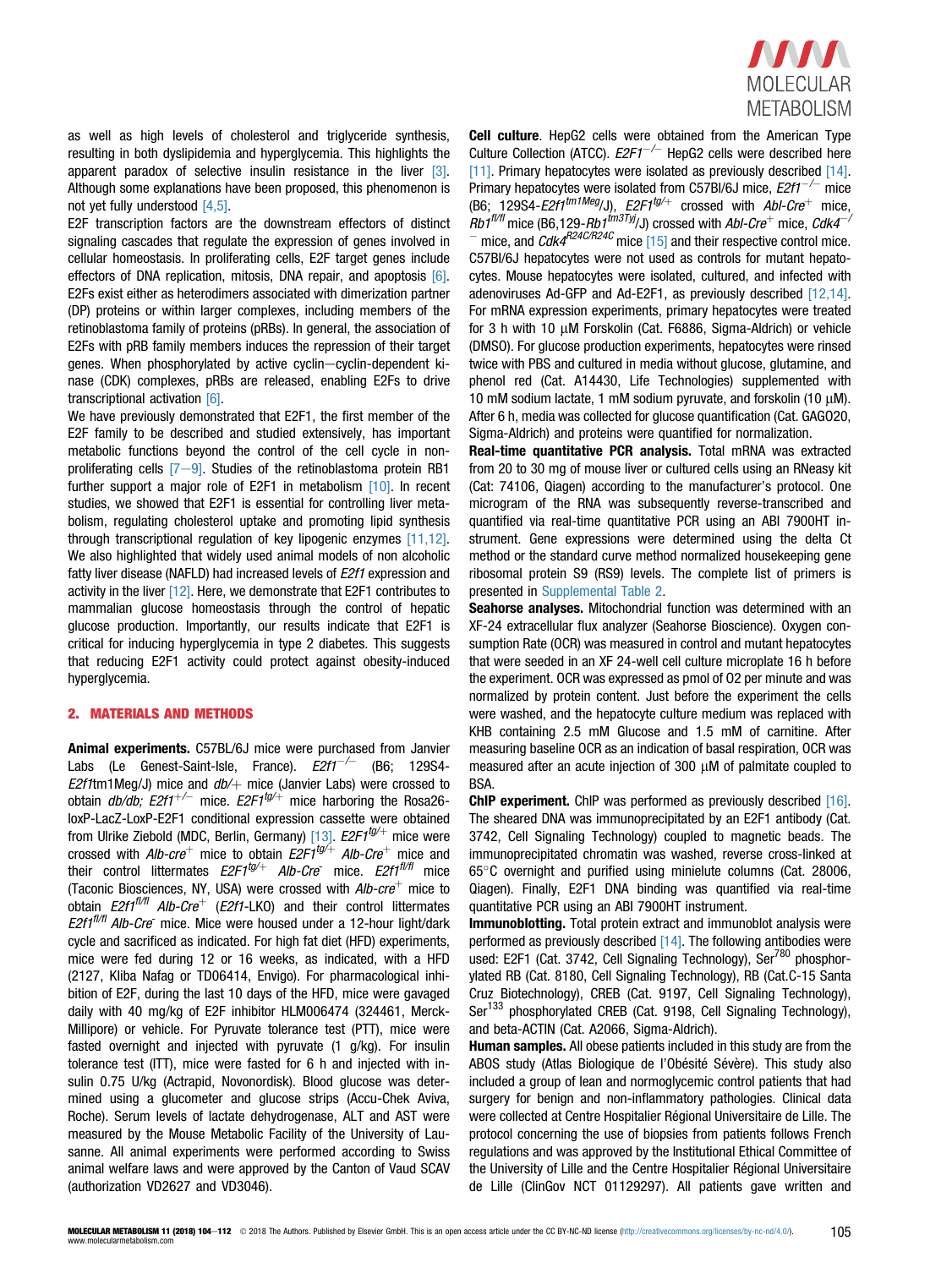

as well as high levels of cholesterol and triglyceride synthesis, resulting in both dyslipidemia and hyperglycemia. This highlights the apparent paradox of selective insulin resistance in the liver [\[3\]](#page-8-0). Although some explanations have been proposed, this phenomenon is not yet fully understood [\[4,5\]](#page-8-0).

E2F transcription factors are the downstream effectors of distinct signaling cascades that regulate the expression of genes involved in cellular homeostasis. In proliferating cells, E2F target genes include effectors of DNA replication, mitosis, DNA repair, and apoptosis [\[6\]](#page-8-0). E2Fs exist either as heterodimers associated with dimerization partner (DP) proteins or within larger complexes, including members of the retinoblastoma family of proteins (pRBs). In general, the association of E2Fs with pRB family members induces the repression of their target genes. When phosphorylated by active cyclin-cyclin-dependent kinase (CDK) complexes, pRBs are released, enabling E2Fs to drive transcriptional activation [\[6\]](#page-8-0).

We have previously demonstrated that E2F1, the first member of the E2F family to be described and studied extensively, has important metabolic functions beyond the control of the cell cycle in nonproliferating cells  $[7-9]$  $[7-9]$ . Studies of the retinoblastoma protein RB1 further support a major role of E2F1 in metabolism [\[10\]](#page-8-0). In recent studies, we showed that E2F1 is essential for controlling liver metabolism, regulating cholesterol uptake and promoting lipid synthesis through transcriptional regulation of key lipogenic enzymes [\[11,12\]](#page-8-0). We also highlighted that widely used animal models of non alcoholic fatty liver disease (NAFLD) had increased levels of E2f1 expression and activity in the liver [\[12\]](#page-8-0). Here, we demonstrate that E2F1 contributes to mammalian glucose homeostasis through the control of hepatic glucose production. Importantly, our results indicate that E2F1 is critical for inducing hyperglycemia in type 2 diabetes. This suggests that reducing E2F1 activity could protect against obesity-induced hyperglycemia.

#### 2. MATERIALS AND METHODS

Animal experiments. C57BL/6J mice were purchased from Janvier Labs (Le Genest-Saint-Isle, France).  $E2f1^{-/-}$  (B6; 129S4-E2f1tm1Meg/J) mice and  $db$  mice (Janvier Labs) were crossed to obtain  $db/db$ ;  $E2f1^{+/-}$  mice.  $E2F1^{tq/+}$  mice harboring the Rosa26loxP-LacZ-LoxP-E2F1 conditional expression cassette were obtained from Ulrike Ziebold (MDC, Berlin, Germany) [\[13\]](#page-8-0). *E2F1<sup>tg/+</sup>* mice were crossed with Alb-cre<sup>+</sup> mice to obtain E2F1<sup>tg/+</sup> Alb-Cre<sup>+</sup> mice and their control littermates  $E2F1^{tg/+}$  Alb-Cre mice.  $E2f1^{t/f/l}$  mice (Taconic Biosciences, NY, USA) were crossed with  $Alb\text{-}cre^+$  mice to obtain  $E2f1^{f\#f}$  Alb-Cre<sup>+</sup> (E2f1-LKO) and their control littermates  $E2f1^{f\#f}$  Alb-Cre<sup>-</sup> mice. Mice were housed under a 12-hour light/dark cycle and sacrificed as indicated. For high fat diet (HFD) experiments, mice were fed during 12 or 16 weeks, as indicated, with a HFD (2127, Kliba Nafag or TD06414, Envigo). For pharmacological inhibition of E2F, during the last 10 days of the HFD, mice were gavaged daily with 40 mg/kg of E2F inhibitor HLM006474 (324461, Merck-Millipore) or vehicle. For Pyruvate tolerance test (PTT), mice were fasted overnight and injected with pyruvate (1 g/kg). For insulin tolerance test (ITT), mice were fasted for 6 h and injected with insulin 0.75 U/kg (Actrapid, Novonordisk). Blood glucose was determined using a glucometer and glucose strips (Accu-Chek Aviva, Roche). Serum levels of lactate dehydrogenase, ALT and AST were measured by the Mouse Metabolic Facility of the University of Lausanne. All animal experiments were performed according to Swiss animal welfare laws and were approved by the Canton of Vaud SCAV (authorization VD2627 and VD3046).

Cell culture. HepG2 cells were obtained from the American Type Culture Collection (ATCC).  $E2F1^{-/-}$  HepG2 cells were described here [\[11\]](#page-8-0). Primary hepatocytes were isolated as previously described [\[14\]](#page-8-0). Primary hepatocytes were isolated from C57Bl/6J mice,  $E2f1^{-/-}$  mice (B6; 129S4-E2f1<sup>tm1Meg</sup>/J), E2F1<sup>tg/+</sup> crossed with  $AbI-Cre^+$  mice,  $Rb1^{f\#f}$  mice (B6,129-Rb1 $f^{f\#3Ty}/J$ ) crossed with Abl-Cre<sup>+</sup> mice, Cdk4<sup>-/</sup> mice, and  $CdK4^{R24C/R24C}$  mice [\[15\]](#page-8-0) and their respective control mice. C57Bl/6J hepatocytes were not used as controls for mutant hepatocytes. Mouse hepatocytes were isolated, cultured, and infected with adenoviruses Ad-GFP and Ad-E2F1, as previously described [\[12,14\]](#page-8-0). For mRNA expression experiments, primary hepatocytes were treated for 3 h with 10  $\mu$ M Forskolin (Cat. F6886, Sigma-Aldrich) or vehicle (DMSO). For glucose production experiments, hepatocytes were rinsed twice with PBS and cultured in media without glucose, glutamine, and phenol red (Cat. A14430, Life Technologies) supplemented with 10 mM sodium lactate, 1 mM sodium pyruvate, and forskolin (10  $\mu$ M). After 6 h, media was collected for glucose quantification (Cat. GAGO20,

Sigma-Aldrich) and proteins were quantified for normalization. Real-time quantitative PCR analysis. Total mRNA was extracted from 20 to 30 mg of mouse liver or cultured cells using an RNeasy kit (Cat: 74106, Qiagen) according to the manufacturer's protocol. One microgram of the RNA was subsequently reverse-transcribed and quantified via real-time quantitative PCR using an ABI 7900HT instrument. Gene expressions were determined using the delta Ct method or the standard curve method normalized housekeeping gene ribosomal protein S9 (RS9) levels. The complete list of primers is presented in Supplemental Table 2.

Seahorse analyses. Mitochondrial function was determined with an XF-24 extracellular flux analyzer (Seahorse Bioscience). Oxygen consumption Rate (OCR) was measured in control and mutant hepatocytes that were seeded in an XF 24-well cell culture microplate 16 h before the experiment. OCR was expressed as pmol of O2 per minute and was normalized by protein content. Just before the experiment the cells were washed, and the hepatocyte culture medium was replaced with KHB containing 2.5 mM Glucose and 1.5 mM of carnitine. After measuring baseline OCR as an indication of basal respiration, OCR was measured after an acute injection of 300 µM of palmitate coupled to BSA.

ChIP experiment. ChIP was performed as previously described [\[16\]](#page-8-0). The sheared DNA was immunoprecipitated by an E2F1 antibody (Cat. 3742, Cell Signaling Technology) coupled to magnetic beads. The immunoprecipitated chromatin was washed, reverse cross-linked at 65C overnight and purified using minielute columns (Cat. 28006, Qiagen). Finally, E2F1 DNA binding was quantified via real-time quantitative PCR using an ABI 7900HT instrument.

Immunoblotting. Total protein extract and immunoblot analysis were performed as previously described  $[14]$ . The following antibodies were used: E2F1 (Cat. 3742, Cell Signaling Technology), Ser<sup>780</sup> phosphorylated RB (Cat. 8180, Cell Signaling Technology), RB (Cat.C-15 Santa Cruz Biotechnology), CREB (Cat. 9197, Cell Signaling Technology), Ser<sup>133</sup> phosphorylated CREB (Cat. 9198, Cell Signaling Technology), and beta-ACTIN (Cat. A2066, Sigma-Aldrich).

Human samples. All obese patients included in this study are from the ABOS study (Atlas Biologique de l'Obésité Sévère). This study also included a group of lean and normoglycemic control patients that had surgery for benign and non-inflammatory pathologies. Clinical data were collected at Centre Hospitalier Régional Universitaire de Lille. The protocol concerning the use of biopsies from patients follows French regulations and was approved by the Institutional Ethical Committee of the University of Lille and the Centre Hospitalier Régional Universitaire de Lille (ClinGov NCT 01129297). All patients gave written and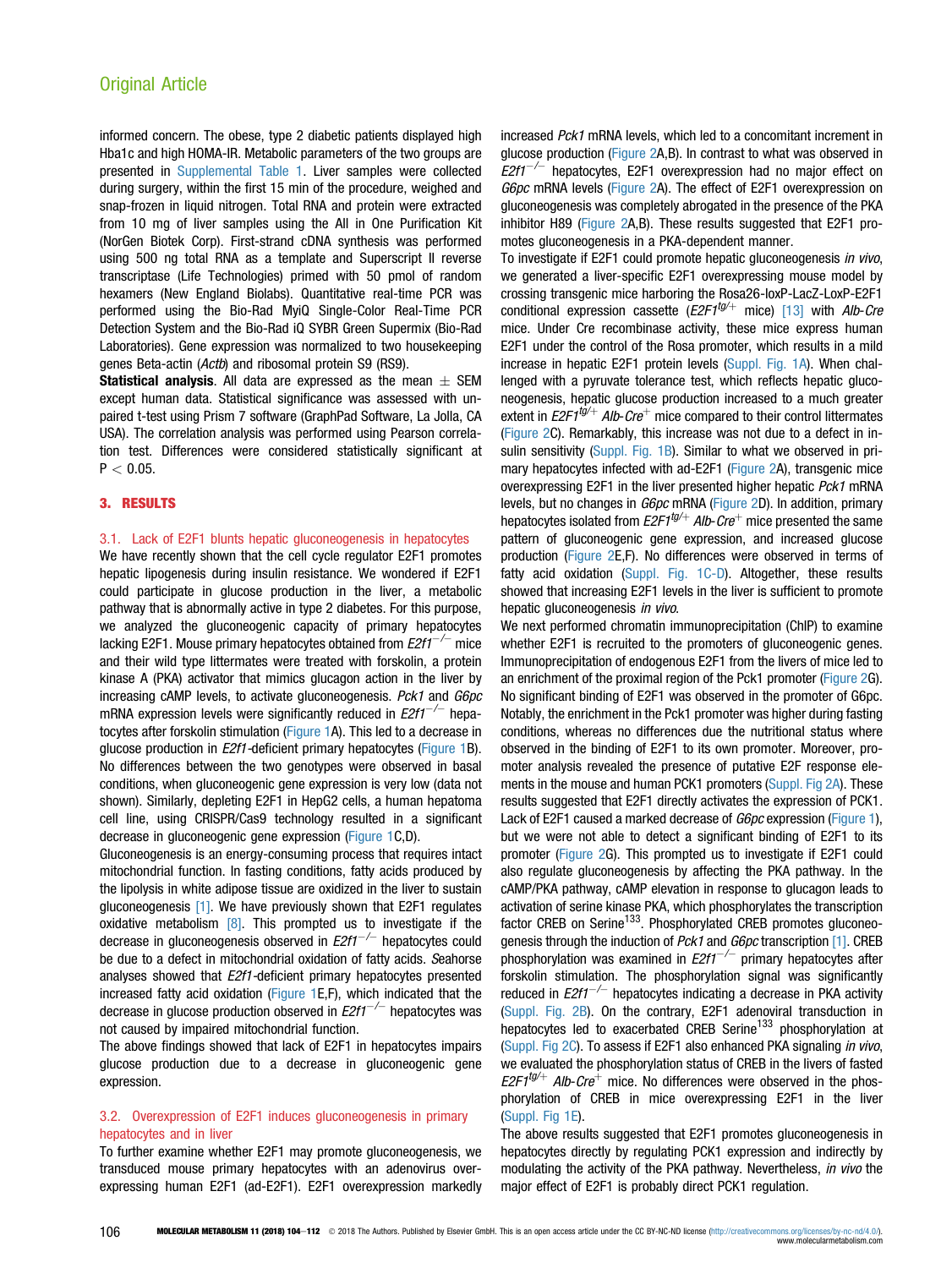informed concern. The obese, type 2 diabetic patients displayed high Hba1c and high HOMA-IR. Metabolic parameters of the two groups are presented in Supplemental Table 1. Liver samples were collected during surgery, within the first 15 min of the procedure, weighed and snap-frozen in liquid nitrogen. Total RNA and protein were extracted from 10 mg of liver samples using the All in One Purification Kit (NorGen Biotek Corp). First-strand cDNA synthesis was performed using 500 ng total RNA as a template and Superscript II reverse transcriptase (Life Technologies) primed with 50 pmol of random hexamers (New England Biolabs). Quantitative real-time PCR was performed using the Bio-Rad MyiQ Single-Color Real-Time PCR Detection System and the Bio-Rad iQ SYBR Green Supermix (Bio-Rad Laboratories). Gene expression was normalized to two housekeeping genes Beta-actin (Actb) and ribosomal protein S9 (RS9).

**Statistical analysis.** All data are expressed as the mean  $+$  SFM except human data. Statistical significance was assessed with unpaired t-test using Prism 7 software (GraphPad Software, La Jolla, CA USA). The correlation analysis was performed using Pearson correlation test. Differences were considered statistically significant at  $P < 0.05$ .

# 3. RESULTS

### 3.1. Lack of E2F1 blunts hepatic gluconeogenesis in hepatocytes

We have recently shown that the cell cycle regulator E2F1 promotes hepatic lipogenesis during insulin resistance. We wondered if E2F1 could participate in glucose production in the liver, a metabolic pathway that is abnormally active in type 2 diabetes. For this purpose, we analyzed the gluconeogenic capacity of primary hepatocytes lacking E2F1. Mouse primary hepatocytes obtained from  $E2f1^{-/-}$  mice and their wild type littermates were treated with forskolin, a protein kinase A (PKA) activator that mimics glucagon action in the liver by increasing cAMP levels, to activate gluconeogenesis. Pck1 and G6pc mRNA expression levels were significantly reduced in  $E2f1^{-/-}$  hepatocytes after forskolin stimulation [\(Figure 1](#page-3-0)A). This led to a decrease in glucose production in *E2f1*-deficient primary hepatocytes ([Figure 1](#page-3-0)B). No differences between the two genotypes were observed in basal conditions, when gluconeogenic gene expression is very low (data not shown). Similarly, depleting E2F1 in HepG2 cells, a human hepatoma cell line, using CRISPR/Cas9 technology resulted in a significant decrease in gluconeogenic gene expression [\(Figure 1C](#page-3-0),D).

Gluconeogenesis is an energy-consuming process that requires intact mitochondrial function. In fasting conditions, fatty acids produced by the lipolysis in white adipose tissue are oxidized in the liver to sustain gluconeogenesis [\[1\].](#page-8-0) We have previously shown that E2F1 regulates oxidative metabolism  $[8]$ . This prompted us to investigate if the decrease in gluconeogenesis observed in  $E2f1^{-/-}$  hepatocytes could be due to a defect in mitochondrial oxidation of fatty acids. Seahorse analyses showed that E2f1-deficient primary hepatocytes presented increased fatty acid oxidation ([Figure 1E](#page-3-0),F), which indicated that the decrease in glucose production observed in  $E2f1^{-/-}$  hepatocytes was not caused by impaired mitochondrial function.

The above findings showed that lack of E2F1 in hepatocytes impairs glucose production due to a decrease in gluconeogenic gene expression.

# 3.2. Overexpression of E2F1 induces gluconeogenesis in primary hepatocytes and in liver

To further examine whether E2F1 may promote gluconeogenesis, we transduced mouse primary hepatocytes with an adenovirus overexpressing human E2F1 (ad-E2F1). E2F1 overexpression markedly increased Pck1 mRNA levels, which led to a concomitant increment in glucose production ([Figure 2](#page-4-0)A,B). In contrast to what was observed in  $E2f1^{-/-}$  hepatocytes, E2F1 overexpression had no major effect on G6pc mRNA levels ([Figure 2](#page-4-0)A). The effect of E2F1 overexpression on gluconeogenesis was completely abrogated in the presence of the PKA inhibitor H89 ([Figure 2A](#page-4-0),B). These results suggested that E2F1 promotes gluconeogenesis in a PKA-dependent manner.

To investigate if E2F1 could promote hepatic gluconeogenesis in vivo, we generated a liver-specific E2F1 overexpressing mouse model by crossing transgenic mice harboring the Rosa26-loxP-LacZ-LoxP-E2F1 conditional expression cassette  $(E2F1^{tg/+}$  mice) [\[13\]](#page-8-0) with Alb-Cre mice. Under Cre recombinase activity, these mice express human E2F1 under the control of the Rosa promoter, which results in a mild increase in hepatic E2F1 protein levels (Suppl. Fig. 1A). When challenged with a pyruvate tolerance test, which reflects hepatic gluconeogenesis, hepatic glucose production increased to a much greater extent in  $E2F1^{tg/+}$  Alb-Cre<sup>+</sup> mice compared to their control littermates ([Figure 2](#page-4-0)C). Remarkably, this increase was not due to a defect in insulin sensitivity (Suppl. Fig. 1B). Similar to what we observed in primary hepatocytes infected with ad-E2F1 ([Figure 2A](#page-4-0)), transgenic mice overexpressing E2F1 in the liver presented higher hepatic Pck1 mRNA levels, but no changes in G6pc mRNA [\(Figure 2D](#page-4-0)). In addition, primary hepatocytes isolated from  $E2F1^{tg/+}$  Alb-Cre<sup>+</sup> mice presented the same pattern of gluconeogenic gene expression, and increased glucose production [\(Figure 2E](#page-4-0),F). No differences were observed in terms of fatty acid oxidation (Suppl. Fig. 1C-D). Altogether, these results showed that increasing E2F1 levels in the liver is sufficient to promote hepatic gluconeogenesis in vivo.

We next performed chromatin immunoprecipitation (ChIP) to examine whether E2F1 is recruited to the promoters of aluconeogenic genes. Immunoprecipitation of endogenous E2F1 from the livers of mice led to an enrichment of the proximal region of the Pck1 promoter [\(Figure 2](#page-4-0)G). No significant binding of E2F1 was observed in the promoter of G6pc. Notably, the enrichment in the Pck1 promoter was higher during fasting conditions, whereas no differences due the nutritional status where observed in the binding of E2F1 to its own promoter. Moreover, promoter analysis revealed the presence of putative E2F response elements in the mouse and human PCK1 promoters (Suppl. Fig 2A). These results suggested that E2F1 directly activates the expression of PCK1. Lack of E2F1 caused a marked decrease of *G6pc* expression [\(Figure 1](#page-3-0)), but we were not able to detect a significant binding of E2F1 to its promoter ([Figure 2G](#page-4-0)). This prompted us to investigate if E2F1 could also regulate gluconeogenesis by affecting the PKA pathway. In the cAMP/PKA pathway, cAMP elevation in response to glucagon leads to activation of serine kinase PKA, which phosphorylates the transcription factor CREB on Serine<sup>133</sup>. Phosphorylated CREB promotes gluconeo-genesis through the induction of Pck1 and G6pc transcription [\[1\].](#page-8-0) CREB phosphorylation was examined in  $E2f1^{-/-}$  primary hepatocytes after forskolin stimulation. The phosphorylation signal was significantly reduced in  $E2f1^{-/-}$  hepatocytes indicating a decrease in PKA activity (Suppl. Fig. 2B). On the contrary, E2F1 adenoviral transduction in hepatocytes led to exacerbated CREB Serine<sup>133</sup> phosphorylation at (Suppl. Fig 2C). To assess if E2F1 also enhanced PKA signaling in vivo, we evaluated the phosphorylation status of CREB in the livers of fasted  $E2F1^{tg/+}$  Alb-Cre<sup>+</sup> mice. No differences were observed in the phosphorylation of CREB in mice overexpressing E2F1 in the liver (Suppl. Fig 1E).

The above results suggested that E2F1 promotes gluconeogenesis in hepatocytes directly by regulating PCK1 expression and indirectly by modulating the activity of the PKA pathway. Nevertheless, in vivo the major effect of E2F1 is probably direct PCK1 regulation.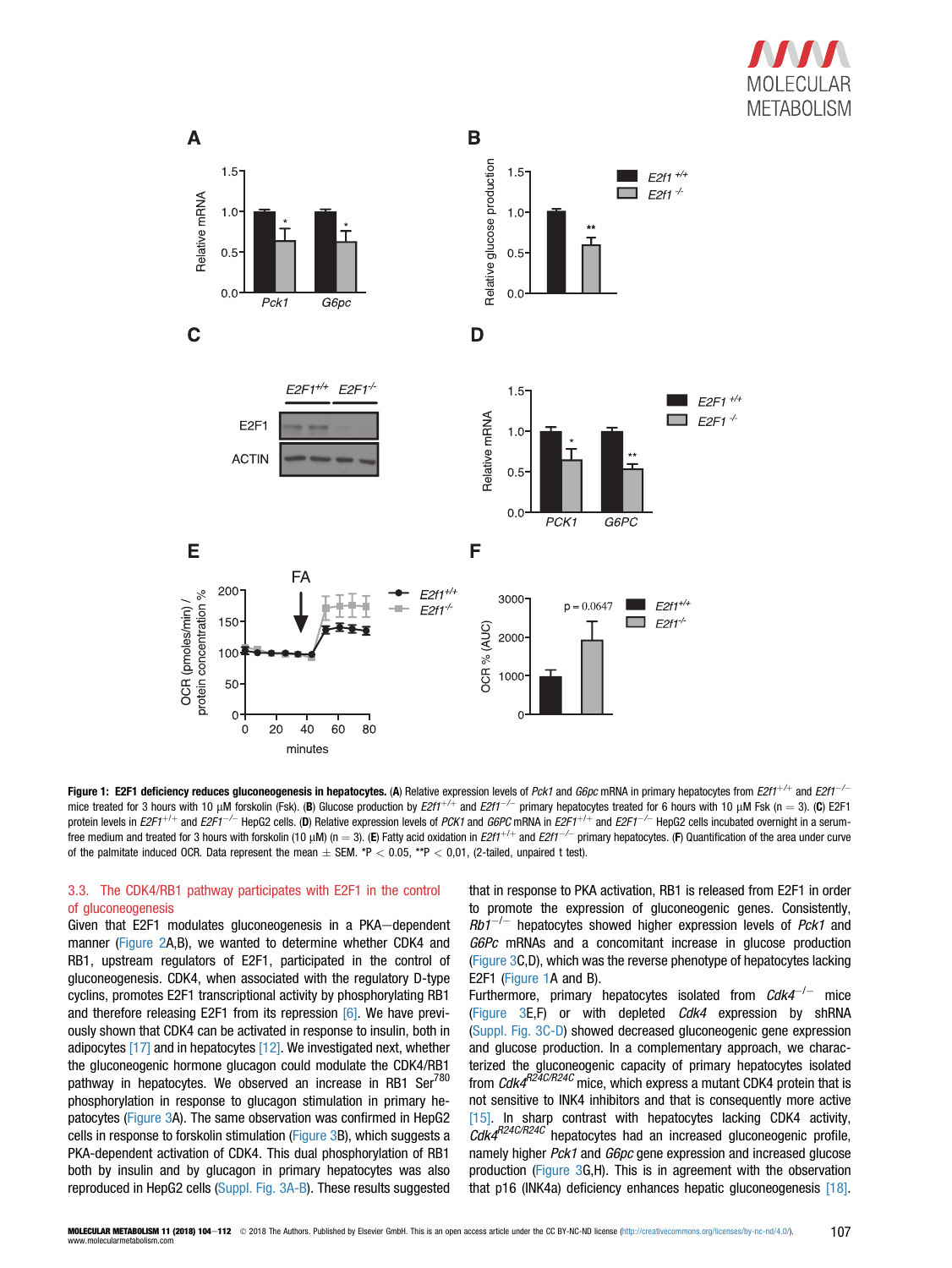

<span id="page-3-0"></span>

Figure 1: E2F1 deficiency reduces gluconeogenesis in hepatocytes. (A) Relative expression levels of Pck1 and G6pc mRNA in primary hepatocytes from  $E2ff^{-/-}$  and  $E2ff^{-/-}$ mice treated for 3 hours with 10  $\mu$ M forskolin (Fsk). (B) Glucose production by  $E2ff^{1/4}$  and  $E2ff^{-1}$  primary hepatocytes treated for 6 hours with 10  $\mu$ M Fsk (n = 3). (C) E2F1 protein levels in  $E2F1^{+/+}$  and  $E2F1^{-/-}$  HepG2 cells. (D) Relative expression levels of PCK1 and G6PC mRNA in  $E2F1^{+/+}$  and  $E2F1^{--/-}$  HepG2 cells incubated overnight in a serumfree medium and treated for 3 hours with forskolin (10 µM) (n = 3). (E) Fatty acid oxidation in E2f1<sup>+/+</sup> and E2f1<sup>-/-</sup> primary hepatocytes. (F) Quantification of the area under curve of the palmitate induced OCR. Data represent the mean  $\pm$  SEM. \*P < 0.05, \*\*P < 0,01, (2-tailed, unpaired t test).

# 3.3. The CDK4/RB1 pathway participates with E2F1 in the control of gluconeogenesis

Given that E2F1 modulates gluconeogenesis in a PKA-dependent manner ([Figure 2](#page-4-0)A,B), we wanted to determine whether CDK4 and RB1, upstream regulators of E2F1, participated in the control of gluconeogenesis. CDK4, when associated with the regulatory D-type cyclins, promotes E2F1 transcriptional activity by phosphorylating RB1 and therefore releasing E2F1 from its repression [\[6\].](#page-8-0) We have previously shown that CDK4 can be activated in response to insulin, both in adipocytes [\[17\]](#page-8-0) and in hepatocytes [\[12\]](#page-8-0). We investigated next, whether the gluconeogenic hormone glucagon could modulate the CDK4/RB1 pathway in hepatocytes. We observed an increase in RB1 Ser $^{780}$ phosphorylation in response to glucagon stimulation in primary hepatocytes ([Figure 3A](#page-5-0)). The same observation was confirmed in HepG2 cells in response to forskolin stimulation [\(Figure 3](#page-5-0)B), which suggests a PKA-dependent activation of CDK4. This dual phosphorylation of RB1 both by insulin and by glucagon in primary hepatocytes was also reproduced in HepG2 cells (Suppl. Fig. 3A-B). These results suggested

that in response to PKA activation, RB1 is released from E2F1 in order to promote the expression of gluconeogenic genes. Consistently,  $Rb1^{-/-}$  hepatocytes showed higher expression levels of Pck1 and G6Pc mRNAs and a concomitant increase in glucose production ([Figure 3](#page-5-0)C,D), which was the reverse phenotype of hepatocytes lacking E2F1 (Figure 1A and B).

Furthermore, primary hepatocytes isolated from  $Cdk4^{-/-}$  mice ([Figure 3](#page-5-0)E,F) or with depleted Cdk4 expression by shRNA (Suppl. Fig. 3C-D) showed decreased gluconeogenic gene expression and glucose production. In a complementary approach, we characterized the gluconeogenic capacity of primary hepatocytes isolated from  $\textit{Cdk4}^{\textit{R24C/R24C}}$  mice, which express a mutant CDK4 protein that is not sensitive to INK4 inhibitors and that is consequently more active [\[15\]](#page-8-0). In sharp contrast with hepatocytes lacking CDK4 activity,  $CdkA^{R24C/R24C}$  hepatocytes had an increased gluconeogenic profile, namely higher *Pck1* and *G6pc* gene expression and increased glucose production [\(Figure 3G](#page-5-0),H). This is in agreement with the observation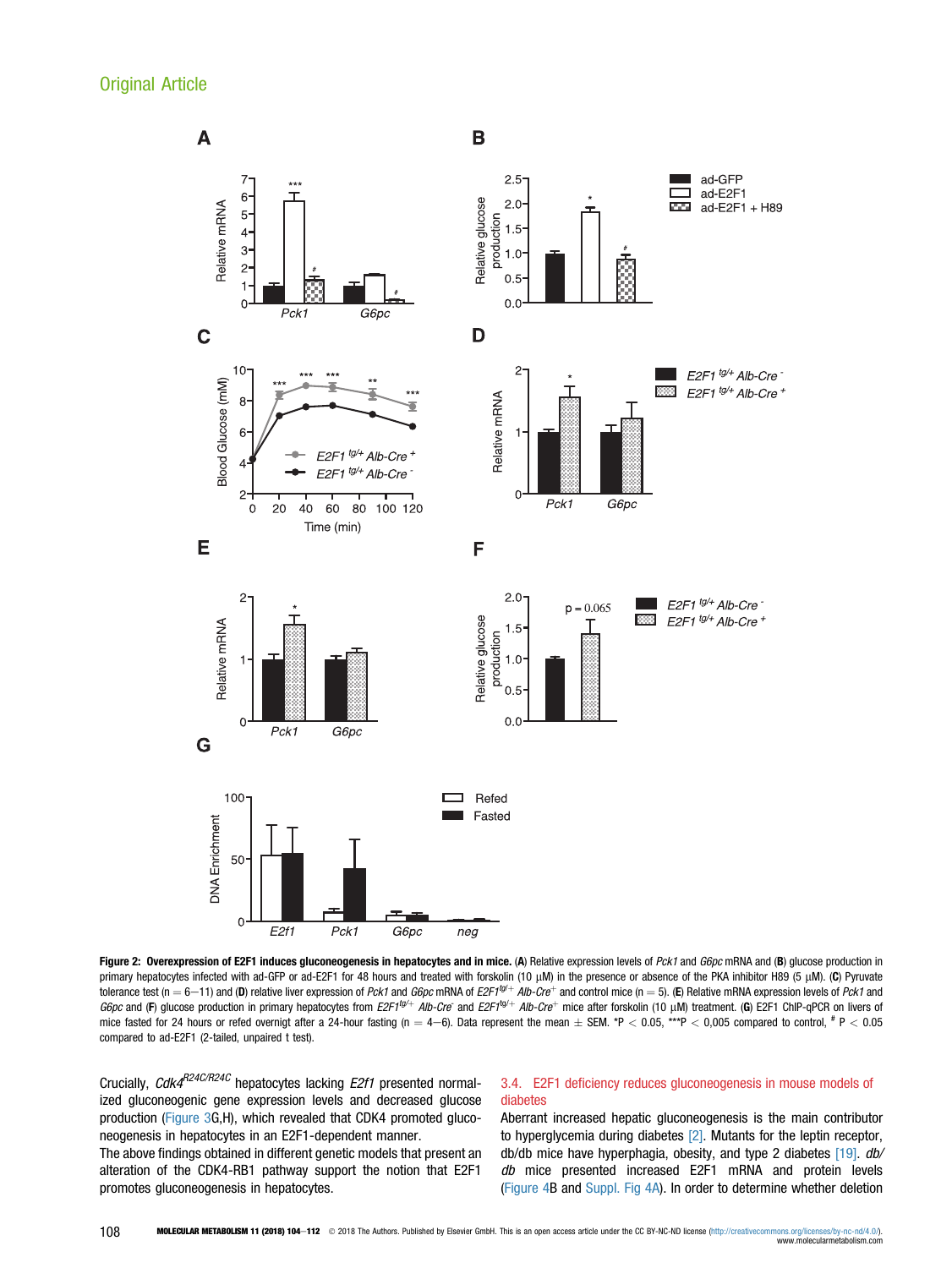<span id="page-4-0"></span>

Figure 2: Overexpression of E2F1 induces gluconeogenesis in hepatocytes and in mice. (A) Relative expression levels of Pck1 and G6pc mRNA and (B) glucose production in primary hepatocytes infected with ad-GFP or ad-E2F1 for 48 hours and treated with forskolin (10 µM) in the presence or absence of the PKA inhibitor H89 (5 µM). (C) Pyruvate tolerance test (n = 6-11) and (D) relative liver expression of Pck1 and G6pc mRNA of E2F1<sup>tg/+</sup> Alb-Cre<sup>+</sup> and control mice (n = 5). (E) Relative mRNA expression levels of Pck1 and G6pc and (F) glucose production in primary hepatocytes from E2F1<sup>tg/+</sup> Alb-Cre<sup>-</sup> and E2F1<sup>tg/+</sup> Alb-Cre<sup>+</sup> mice after forskolin (10 µM) treatment. (G) E2F1 ChIP-qPCR on livers of mice fasted for 24 hours or refed overnigt after a 24-hour fasting (n  $=4-6$ ). Data represent the mean  $\pm$  SEM. \*P  $<$  0.05, \*\*\*P  $<$  0,005 compared to control,  $^{\#}$  P  $<$  0.05 compared to ad-E2F1 (2-tailed, unpaired t test).

Crucially, Cdk4<sup>R24C/R24C</sup> hepatocytes lacking E2f1 presented normalized gluconeogenic gene expression levels and decreased glucose production ([Figure 3](#page-5-0)G,H), which revealed that CDK4 promoted gluconeogenesis in hepatocytes in an E2F1-dependent manner.

The above findings obtained in different genetic models that present an alteration of the CDK4-RB1 pathway support the notion that E2F1 promotes gluconeogenesis in hepatocytes.

# 3.4. E2F1 deficiency reduces gluconeogenesis in mouse models of diabetes

Aberrant increased hepatic gluconeogenesis is the main contributor to hyperglycemia during diabetes [\[2\].](#page-8-0) Mutants for the leptin receptor, db/db mice have hyperphagia, obesity, and type 2 diabetes [\[19\]](#page-8-0). db/ db mice presented increased E2F1 mRNA and protein levels ([Figure 4](#page-6-0)B and Suppl. Fig 4A). In order to determine whether deletion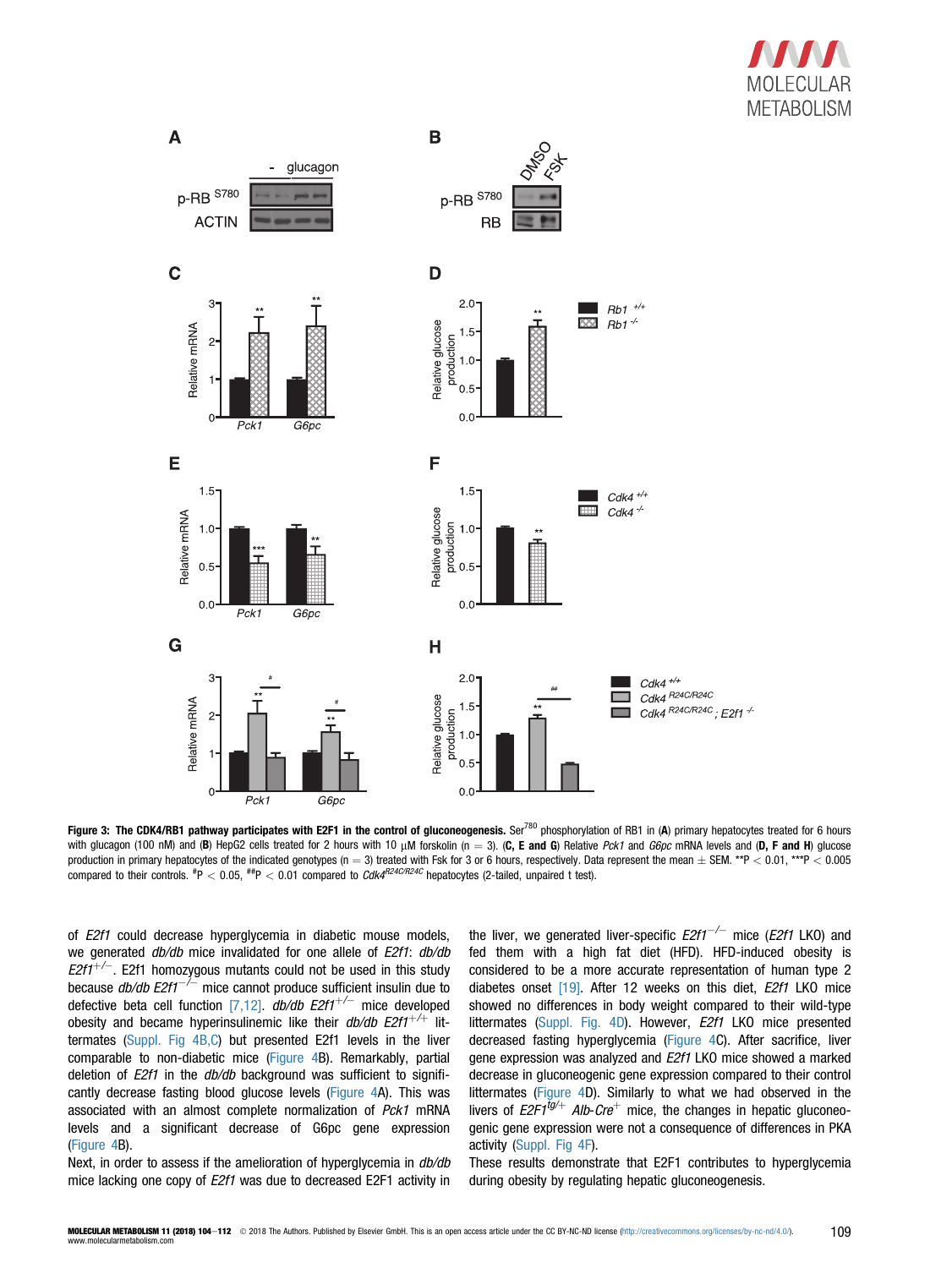

<span id="page-5-0"></span>

Figure 3: The CDK4/RB1 pathway participates with E2F1 in the control of gluconeogenesis. Ser<sup>780</sup> phosphorylation of RB1 in (A) primary hepatocytes treated for 6 hours with glucagon (100 nM) and (B) HepG2 cells treated for 2 hours with 10  $\mu$ M forskolin (n = 3). (C, E and G) Relative Pck1 and G6pc mRNA levels and (D, F and H) glucose production in primary hepatocytes of the indicated genotypes (n = 3) treated with Fsk for 3 or 6 hours, respectively. Data represent the mean  $\pm$  SEM. \*\*P < 0.01, \*\*\*P < 0.005 compared to their controls.  $^{~\#}P< 0.05,~^{~\#}P< 0.01$  compared to  $Cd$ K $^{R24C/R24C}$  hepatocytes (2-tailed, unpaired t test).

of E2f1 could decrease hyperglycemia in diabetic mouse models, we generated  $db/db$  mice invalidated for one allele of E2f1:  $db/db$  $E2f1^{+/-}$ . E2f1 homozygous mutants could not be used in this study because  $db/db$  E2f1<sup>-/-</sup> mice cannot produce sufficient insulin due to defective beta cell function [\[7,12\].](#page-8-0)  $db/db$   $E2f1^{+/-}$  mice developed obesity and became hyperinsulinemic like their  $db/db$   $E2f1^{+/+}$  littermates (Suppl. Fig 4B,C) but presented E2f1 levels in the liver comparable to non-diabetic mice ([Figure 4](#page-6-0)B). Remarkably, partial deletion of *E2f1* in the *db/db* background was sufficient to significantly decrease fasting blood glucose levels ([Figure 4](#page-6-0)A). This was associated with an almost complete normalization of Pck1 mRNA levels and a significant decrease of G6pc gene expression ([Figure 4B](#page-6-0)).

Next, in order to assess if the amelioration of hyperglycemia in  $db/db$ mice lacking one copy of E2f1 was due to decreased E2F1 activity in

the liver, we generated liver-specific  $E2f1^{-/-}$  mice ( $E2f1$  LKO) and fed them with a high fat diet (HFD). HFD-induced obesity is considered to be a more accurate representation of human type 2 diabetes onset [\[19\]](#page-8-0). After 12 weeks on this diet, E2f1 LKO mice showed no differences in body weight compared to their wild-type littermates (Suppl. Fig. 4D). However, *E2f1* LKO mice presented decreased fasting hyperglycemia ([Figure 4](#page-6-0)C). After sacrifice, liver gene expression was analyzed and E2f1 LKO mice showed a marked decrease in gluconeogenic gene expression compared to their control littermates [\(Figure 4](#page-6-0)D). Similarly to what we had observed in the livers of  $E2F1^{tg/+}$  Alb-Cre<sup>+</sup> mice, the changes in hepatic gluconeogenic gene expression were not a consequence of differences in PKA activity (Suppl. Fig 4F).

These results demonstrate that E2F1 contributes to hyperglycemia during obesity by regulating hepatic gluconeogenesis.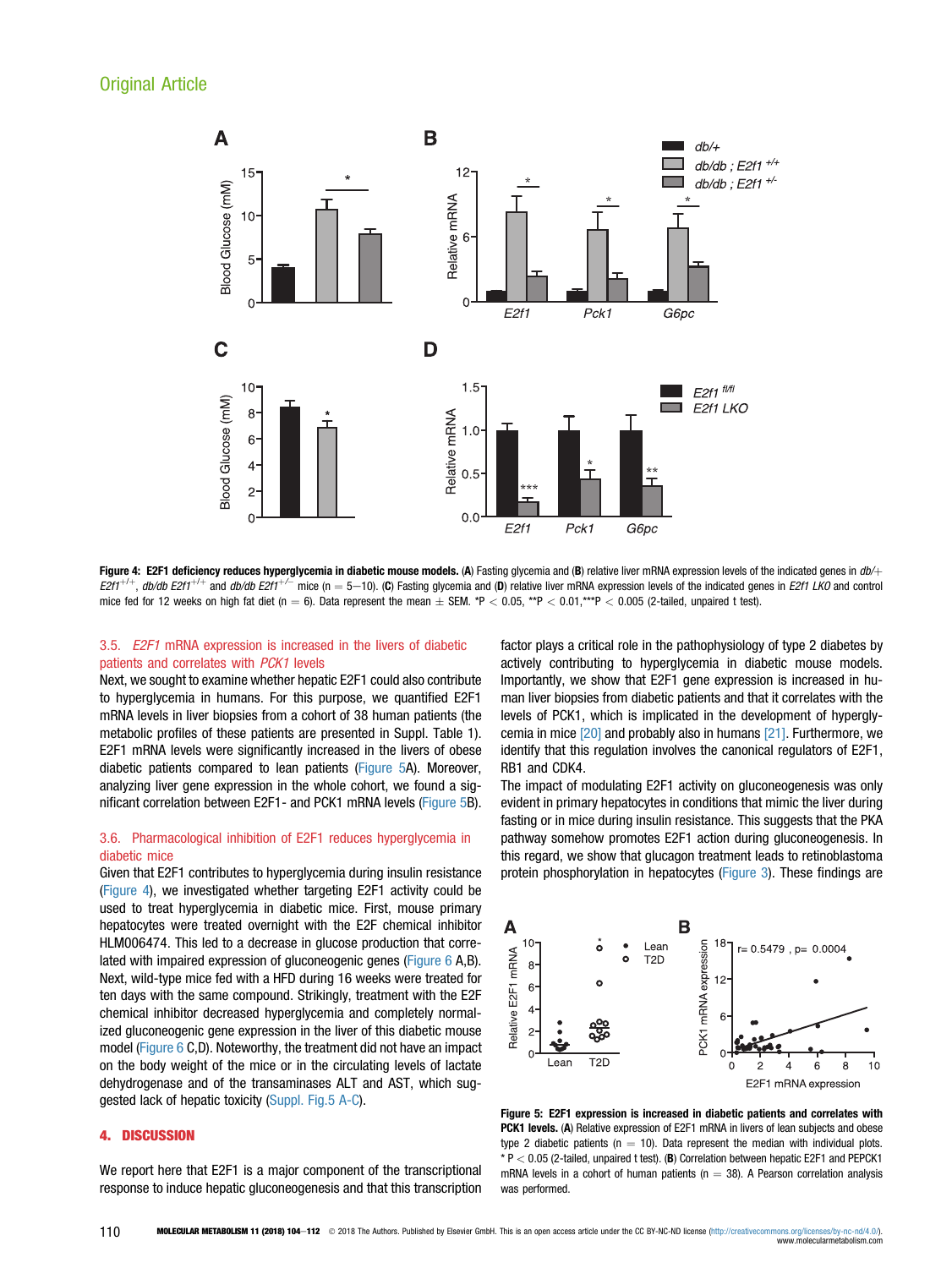<span id="page-6-0"></span>

Figure 4: E2F1 deficiency reduces hyperglycemia in diabetic mouse models. (A) Fasting glycemia and (B) relative liver mRNA expression levels of the indicated genes in  $db/+$  $E2f1^{+/+}$ , db/db  $E2f1^{+/+}$  and db/db  $E2f1^{+/-}$  mice (n = 5-10). (C) Fasting glycemia and (D) relative liver mRNA expression levels of the indicated genes in  $E2f1$  LKO and control mice fed for 12 weeks on high fat diet (n = 6). Data represent the mean  $\pm$  SEM. \*P < 0.05, \*\*P < 0.01,\*\*\*P < 0.005 (2-tailed, unpaired t test).

# 3.5. E2F1 mRNA expression is increased in the livers of diabetic patients and correlates with PCK1 levels

Next, we sought to examine whether hepatic E2F1 could also contribute to hyperglycemia in humans. For this purpose, we quantified E2F1 mRNA levels in liver biopsies from a cohort of 38 human patients (the metabolic profiles of these patients are presented in Suppl. Table 1). E2F1 mRNA levels were significantly increased in the livers of obese diabetic patients compared to lean patients (Figure 5A). Moreover, analyzing liver gene expression in the whole cohort, we found a significant correlation between E2F1- and PCK1 mRNA levels (Figure 5B).

# 3.6. Pharmacological inhibition of E2F1 reduces hyperglycemia in diabetic mice

Given that E2F1 contributes to hyperglycemia during insulin resistance (Figure 4), we investigated whether targeting E2F1 activity could be used to treat hyperglycemia in diabetic mice. First, mouse primary hepatocytes were treated overnight with the E2F chemical inhibitor HLM006474. This led to a decrease in glucose production that correlated with impaired expression of gluconeogenic genes ([Figure 6](#page-7-0) A,B). Next, wild-type mice fed with a HFD during 16 weeks were treated for ten days with the same compound. Strikingly, treatment with the E2F chemical inhibitor decreased hyperglycemia and completely normalized gluconeogenic gene expression in the liver of this diabetic mouse model [\(Figure 6](#page-7-0) C,D). Noteworthy, the treatment did not have an impact on the body weight of the mice or in the circulating levels of lactate dehydrogenase and of the transaminases ALT and AST, which suggested lack of hepatic toxicity (Suppl. Fig.5 A-C).

#### 4. DISCUSSION

We report here that E2F1 is a major component of the transcriptional response to induce hepatic gluconeogenesis and that this transcription

factor plays a critical role in the pathophysiology of type 2 diabetes by actively contributing to hyperglycemia in diabetic mouse models. Importantly, we show that E2F1 gene expression is increased in human liver biopsies from diabetic patients and that it correlates with the levels of PCK1, which is implicated in the development of hyperglycemia in mice [\[20\]](#page-8-0) and probably also in humans [\[21\].](#page-8-0) Furthermore, we identify that this regulation involves the canonical regulators of E2F1, RB1 and CDK4.

The impact of modulating E2F1 activity on gluconeogenesis was only evident in primary hepatocytes in conditions that mimic the liver during fasting or in mice during insulin resistance. This suggests that the PKA pathway somehow promotes E2F1 action during gluconeogenesis. In this regard, we show that glucagon treatment leads to retinoblastoma protein phosphorylation in hepatocytes [\(Figure 3\)](#page-5-0). These findings are



Figure 5: E2F1 expression is increased in diabetic patients and correlates with PCK1 levels. (A) Relative expression of E2F1 mRNA in livers of lean subjects and obese type 2 diabetic patients ( $n = 10$ ). Data represent the median with individual plots.  $* P < 0.05$  (2-tailed, unpaired t test). (B) Correlation between hepatic E2F1 and PEPCK1 mRNA levels in a cohort of human patients ( $n = 38$ ). A Pearson correlation analysis was performed.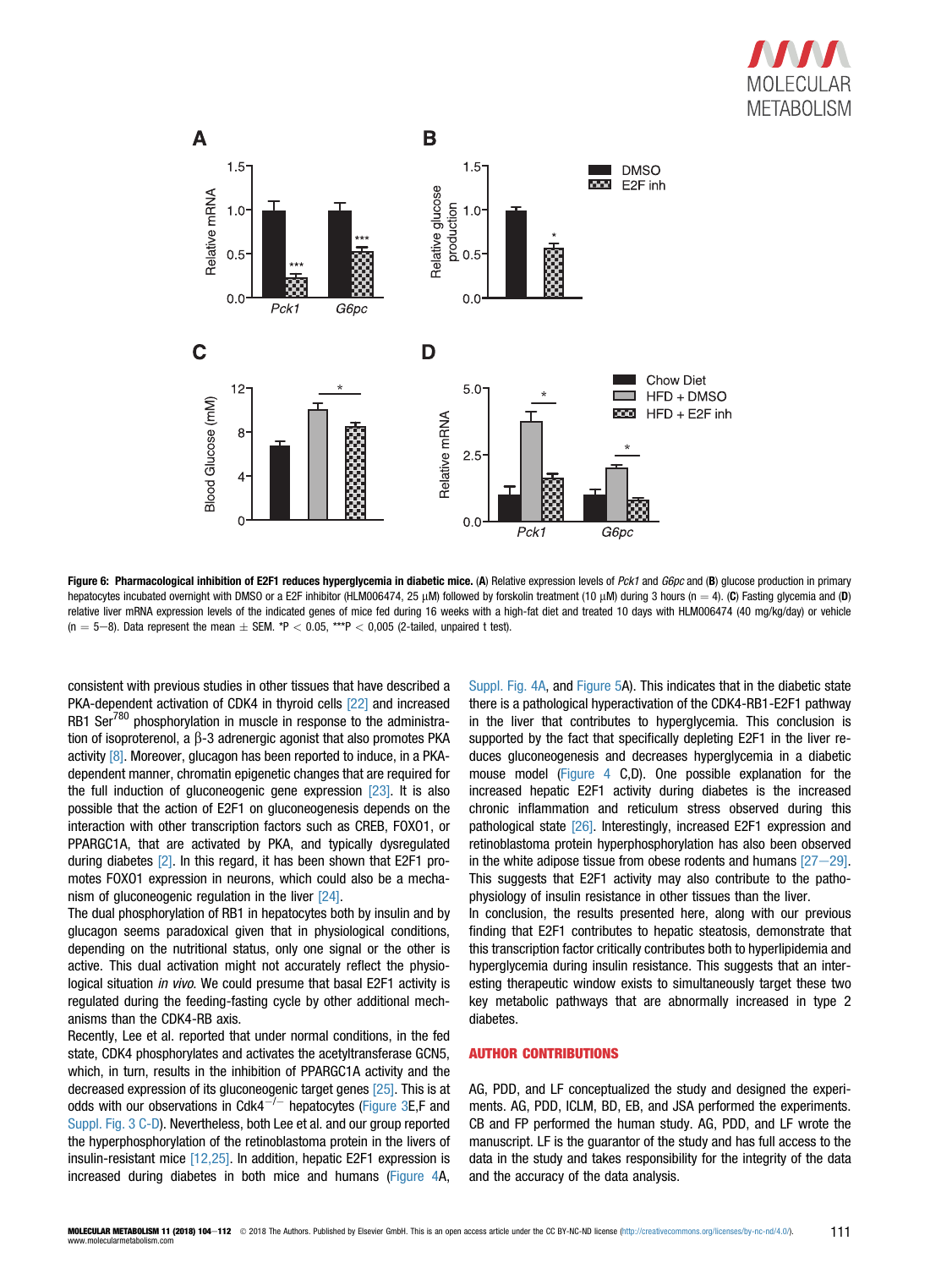

<span id="page-7-0"></span>

Figure 6: Pharmacological inhibition of E2F1 reduces hyperglycemia in diabetic mice. (A) Relative expression levels of Pck1 and G6pc and (B) glucose production in primary hepatocytes incubated overnight with DMSO or a E2F inhibitor (HLM006474, 25 µM) followed by forskolin treatment (10 µM) during 3 hours (n = 4). (C) Fasting glycemia and (D) relative liver mRNA expression levels of the indicated genes of mice fed during 16 weeks with a high-fat diet and treated 10 days with HLM006474 (40 mg/kg/day) or vehicle  $(n = 5-8)$ . Data represent the mean  $\pm$  SEM. \*P < 0.05, \*\*\*P < 0,005 (2-tailed, unpaired t test).

consistent with previous studies in other tissues that have described a PKA-dependent activation of CDK4 in thyroid cells [\[22\]](#page-8-0) and increased RB1 Ser<sup>780</sup> phosphorylation in muscle in response to the administration of isoproterenol, a  $\beta$ -3 adrenergic agonist that also promotes PKA activity [\[8\]](#page-8-0). Moreover, glucagon has been reported to induce, in a PKAdependent manner, chromatin epigenetic changes that are required for the full induction of gluconeogenic gene expression [\[23\]](#page-8-0). It is also possible that the action of E2F1 on gluconeogenesis depends on the interaction with other transcription factors such as CREB, FOXO1, or PPARGC1A, that are activated by PKA, and typically dysregulated during diabetes [\[2\].](#page-8-0) In this regard, it has been shown that E2F1 promotes FOXO1 expression in neurons, which could also be a mecha-nism of gluconeogenic regulation in the liver [\[24\].](#page-8-0)

The dual phosphorylation of RB1 in hepatocytes both by insulin and by glucagon seems paradoxical given that in physiological conditions, depending on the nutritional status, only one signal or the other is active. This dual activation might not accurately reflect the physiological situation in vivo. We could presume that basal E2F1 activity is regulated during the feeding-fasting cycle by other additional mechanisms than the CDK4-RB axis.

Recently, Lee et al. reported that under normal conditions, in the fed state, CDK4 phosphorylates and activates the acetyltransferase GCN5, which, in turn, results in the inhibition of PPARGC1A activity and the decreased expression of its gluconeogenic target genes [\[25\].](#page-8-0) This is at odds with our observations in Cdk4<sup> $-/-$ </sup> hepatocytes ([Figure 3E](#page-5-0),F and Suppl. Fig. 3 C-D). Nevertheless, both Lee et al. and our group reported the hyperphosphorylation of the retinoblastoma protein in the livers of insulin-resistant mice [\[12,25\].](#page-8-0) In addition, hepatic E2F1 expression is increased during diabetes in both mice and humans [\(Figure 4A](#page-6-0),

Suppl. Fig. 4A, and [Figure 5](#page-6-0)A). This indicates that in the diabetic state there is a pathological hyperactivation of the CDK4-RB1-E2F1 pathway in the liver that contributes to hyperglycemia. This conclusion is supported by the fact that specifically depleting E2F1 in the liver reduces gluconeogenesis and decreases hyperglycemia in a diabetic mouse model ([Figure 4](#page-6-0) C,D). One possible explanation for the increased hepatic E2F1 activity during diabetes is the increased chronic inflammation and reticulum stress observed during this pathological state [\[26\]](#page-8-0). Interestingly, increased E2F1 expression and retinoblastoma protein hyperphosphorylation has also been observed in the white adipose tissue from obese rodents and humans  $[27-29]$  $[27-29]$  $[27-29]$ . This suggests that E2F1 activity may also contribute to the pathophysiology of insulin resistance in other tissues than the liver.

In conclusion, the results presented here, along with our previous finding that E2F1 contributes to hepatic steatosis, demonstrate that this transcription factor critically contributes both to hyperlipidemia and hyperglycemia during insulin resistance. This suggests that an interesting therapeutic window exists to simultaneously target these two key metabolic pathways that are abnormally increased in type 2 diabetes.

#### AUTHOR CONTRIBUTIONS

AG, PDD, and LF conceptualized the study and designed the experiments. AG, PDD, ICLM, BD, EB, and JSA performed the experiments. CB and FP performed the human study. AG, PDD, and LF wrote the manuscript. LF is the guarantor of the study and has full access to the data in the study and takes responsibility for the integrity of the data and the accuracy of the data analysis.